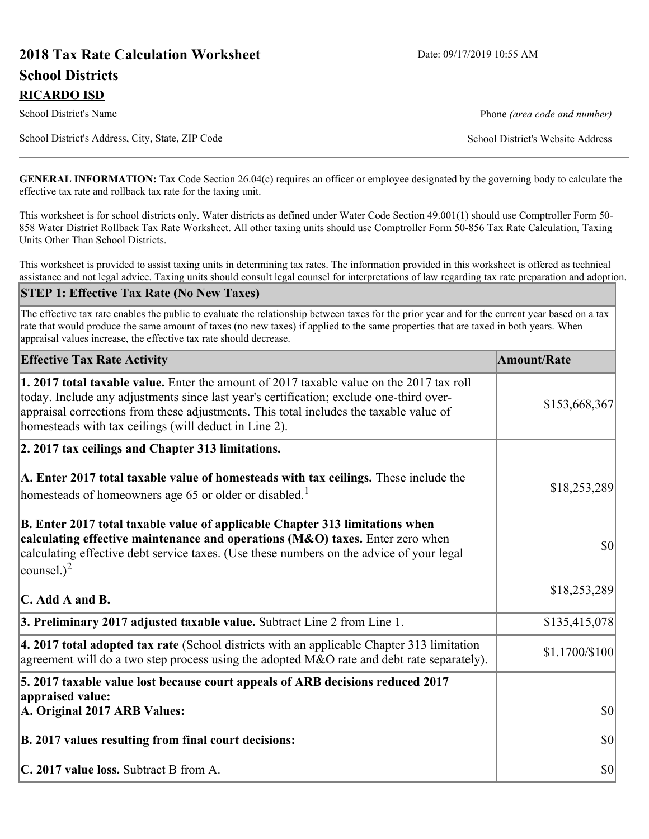# **2018 Tax Rate Calculation Worksheet** Date: 09/17/2019 10:55 AM **School Districts RICARDO ISD**

School District's Name **Phone** *(area code and number)* Phone *(area code and number)* 

School District's Address, City, State, ZIP Code School District's Website Address

**GENERAL INFORMATION:** Tax Code Section 26.04(c) requires an officer or employee designated by the governing body to calculate the effective tax rate and rollback tax rate for the taxing unit.

This worksheet is for school districts only. Water districts as defined under Water Code Section 49.001(1) should use Comptroller Form 50- 858 Water District Rollback Tax Rate Worksheet. All other taxing units should use Comptroller Form 50-856 Tax Rate Calculation, Taxing Units Other Than School Districts.

This worksheet is provided to assist taxing units in determining tax rates. The information provided in this worksheet is offered as technical assistance and not legal advice. Taxing units should consult legal counsel for interpretations of law regarding tax rate preparation and adoption.

### **STEP 1: Effective Tax Rate (No New Taxes)**

The effective tax rate enables the public to evaluate the relationship between taxes for the prior year and for the current year based on a tax rate that would produce the same amount of taxes (no new taxes) if applied to the same properties that are taxed in both years. When appraisal values increase, the effective tax rate should decrease.

| <b>Effective Tax Rate Activity</b>                                                                                                                                                                                                                                                                                                     | <b>Amount/Rate</b> |
|----------------------------------------------------------------------------------------------------------------------------------------------------------------------------------------------------------------------------------------------------------------------------------------------------------------------------------------|--------------------|
| 1. 2017 total taxable value. Enter the amount of 2017 taxable value on the 2017 tax roll<br>today. Include any adjustments since last year's certification; exclude one-third over-<br>appraisal corrections from these adjustments. This total includes the taxable value of<br>homesteads with tax ceilings (will deduct in Line 2). | \$153,668,367      |
| 2. 2017 tax ceilings and Chapter 313 limitations.                                                                                                                                                                                                                                                                                      |                    |
| A. Enter 2017 total taxable value of homesteads with tax ceilings. These include the<br>homesteads of homeowners age 65 or older or disabled. <sup>1</sup>                                                                                                                                                                             | \$18,253,289       |
| B. Enter 2017 total taxable value of applicable Chapter 313 limitations when<br>calculating effective maintenance and operations (M&O) taxes. Enter zero when<br>calculating effective debt service taxes. (Use these numbers on the advice of your legal<br>counsel.) <sup>2</sup>                                                    | $ 10\rangle$       |
| C. Add A and B.                                                                                                                                                                                                                                                                                                                        | \$18,253,289       |
| 3. Preliminary 2017 adjusted taxable value. Subtract Line 2 from Line 1.                                                                                                                                                                                                                                                               | \$135,415,078      |
| $\vert$ 4. 2017 total adopted tax rate (School districts with an applicable Chapter 313 limitation<br>agreement will do a two step process using the adopted M&O rate and debt rate separately).                                                                                                                                       | \$1.1700/\$100     |
| 5. 2017 taxable value lost because court appeals of ARB decisions reduced 2017                                                                                                                                                                                                                                                         |                    |
| appraised value:<br>A. Original 2017 ARB Values:                                                                                                                                                                                                                                                                                       | $ 10\rangle$       |
| B. 2017 values resulting from final court decisions:                                                                                                                                                                                                                                                                                   | $ 10\rangle$       |
| C. 2017 value loss. Subtract B from A.                                                                                                                                                                                                                                                                                                 | $ 10\rangle$       |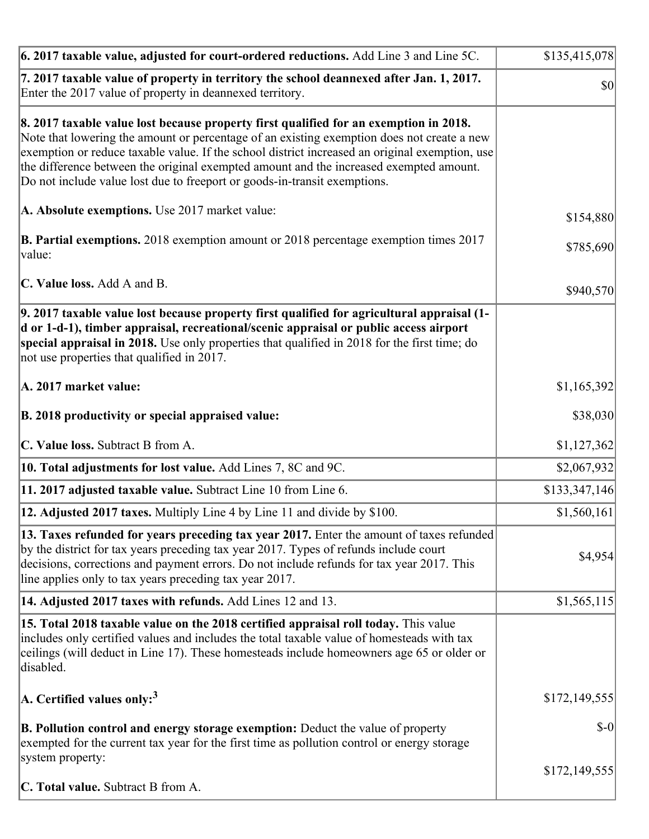| 7. 2017 taxable value of property in territory the school deannexed after Jan. 1, 2017.<br>Enter the 2017 value of property in deannexed territory.<br>8. 2017 taxable value lost because property first qualified for an exemption in 2018.<br>Note that lowering the amount or percentage of an existing exemption does not create a new<br>exemption or reduce taxable value. If the school district increased an original exemption, use<br>the difference between the original exempted amount and the increased exempted amount.<br>Do not include value lost due to freeport or goods-in-transit exemptions.<br>A. Absolute exemptions. Use 2017 market value:<br>\$154,880<br><b>B. Partial exemptions.</b> 2018 exemption amount or 2018 percentage exemption times 2017<br>\$785,690<br>$\vert$ value:<br>C. Value loss. Add A and B.<br>\$940,570<br>9. 2017 taxable value lost because property first qualified for agricultural appraisal (1- | $ 10\rangle$ |
|------------------------------------------------------------------------------------------------------------------------------------------------------------------------------------------------------------------------------------------------------------------------------------------------------------------------------------------------------------------------------------------------------------------------------------------------------------------------------------------------------------------------------------------------------------------------------------------------------------------------------------------------------------------------------------------------------------------------------------------------------------------------------------------------------------------------------------------------------------------------------------------------------------------------------------------------------------|--------------|
|                                                                                                                                                                                                                                                                                                                                                                                                                                                                                                                                                                                                                                                                                                                                                                                                                                                                                                                                                            |              |
|                                                                                                                                                                                                                                                                                                                                                                                                                                                                                                                                                                                                                                                                                                                                                                                                                                                                                                                                                            |              |
|                                                                                                                                                                                                                                                                                                                                                                                                                                                                                                                                                                                                                                                                                                                                                                                                                                                                                                                                                            |              |
|                                                                                                                                                                                                                                                                                                                                                                                                                                                                                                                                                                                                                                                                                                                                                                                                                                                                                                                                                            |              |
|                                                                                                                                                                                                                                                                                                                                                                                                                                                                                                                                                                                                                                                                                                                                                                                                                                                                                                                                                            |              |
| d or 1-d-1), timber appraisal, recreational/scenic appraisal or public access airport<br>special appraisal in 2018. Use only properties that qualified in 2018 for the first time; do<br>not use properties that qualified in 2017.                                                                                                                                                                                                                                                                                                                                                                                                                                                                                                                                                                                                                                                                                                                        |              |
| \$1,165,392<br>A. 2017 market value:                                                                                                                                                                                                                                                                                                                                                                                                                                                                                                                                                                                                                                                                                                                                                                                                                                                                                                                       |              |
| B. 2018 productivity or special appraised value:                                                                                                                                                                                                                                                                                                                                                                                                                                                                                                                                                                                                                                                                                                                                                                                                                                                                                                           | \$38,030     |
| C. Value loss. Subtract B from A.<br>\$1,127,362                                                                                                                                                                                                                                                                                                                                                                                                                                                                                                                                                                                                                                                                                                                                                                                                                                                                                                           |              |
| 10. Total adjustments for lost value. Add Lines 7, 8C and 9C.<br>\$2,067,932                                                                                                                                                                                                                                                                                                                                                                                                                                                                                                                                                                                                                                                                                                                                                                                                                                                                               |              |
| 11. 2017 adjusted taxable value. Subtract Line 10 from Line 6.<br>\$133,347,146                                                                                                                                                                                                                                                                                                                                                                                                                                                                                                                                                                                                                                                                                                                                                                                                                                                                            |              |
| <b>12. Adjusted 2017 taxes.</b> Multiply Line 4 by Line 11 and divide by \$100.<br>\$1,560,161                                                                                                                                                                                                                                                                                                                                                                                                                                                                                                                                                                                                                                                                                                                                                                                                                                                             |              |
| [13. Taxes refunded for years preceding tax year 2017. Enter the amount of taxes refunded]<br>by the district for tax years preceding tax year 2017. Types of refunds include court<br>decisions, corrections and payment errors. Do not include refunds for tax year 2017. This<br>line applies only to tax years preceding tax year 2017.                                                                                                                                                                                                                                                                                                                                                                                                                                                                                                                                                                                                                | \$4,954      |
| 14. Adjusted 2017 taxes with refunds. Add Lines 12 and 13.<br>\$1,565,115                                                                                                                                                                                                                                                                                                                                                                                                                                                                                                                                                                                                                                                                                                                                                                                                                                                                                  |              |
| 15. Total 2018 taxable value on the 2018 certified appraisal roll today. This value<br>includes only certified values and includes the total taxable value of homesteads with tax<br>ceilings (will deduct in Line 17). These homesteads include homeowners age 65 or older or<br>disabled.                                                                                                                                                                                                                                                                                                                                                                                                                                                                                                                                                                                                                                                                |              |
| $ A$ . Certified values only: <sup>3</sup><br>\$172,149,555                                                                                                                                                                                                                                                                                                                                                                                                                                                                                                                                                                                                                                                                                                                                                                                                                                                                                                |              |
| <b>B. Pollution control and energy storage exemption:</b> Deduct the value of property<br>exempted for the current tax year for the first time as pollution control or energy storage<br>system property:                                                                                                                                                                                                                                                                                                                                                                                                                                                                                                                                                                                                                                                                                                                                                  | $$-0$        |
| \$172,149,555<br><b>C. Total value.</b> Subtract B from A.                                                                                                                                                                                                                                                                                                                                                                                                                                                                                                                                                                                                                                                                                                                                                                                                                                                                                                 |              |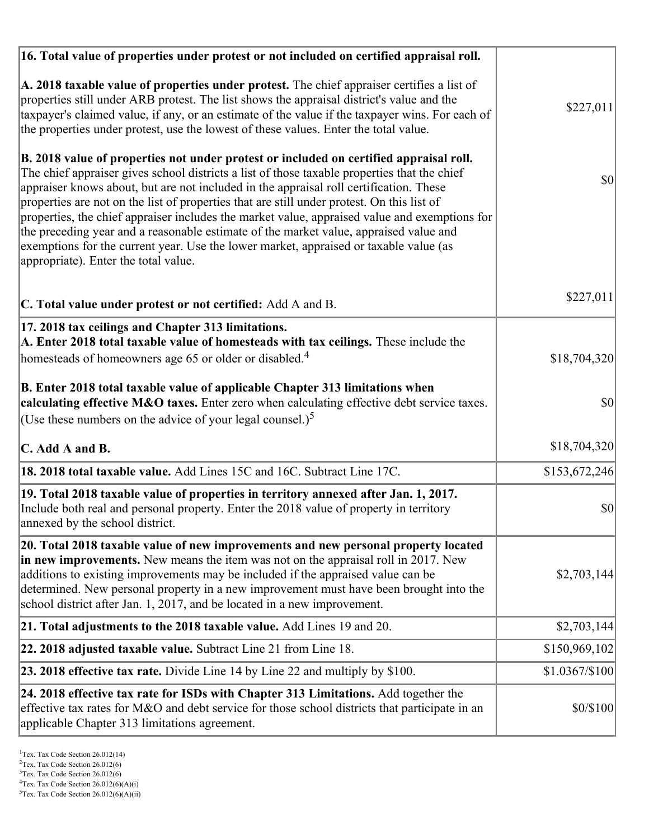| 16. Total value of properties under protest or not included on certified appraisal roll.                                                                                                                                                                                                                                                                                                                                                                                                                                                                                                                                                                                                                  |                |
|-----------------------------------------------------------------------------------------------------------------------------------------------------------------------------------------------------------------------------------------------------------------------------------------------------------------------------------------------------------------------------------------------------------------------------------------------------------------------------------------------------------------------------------------------------------------------------------------------------------------------------------------------------------------------------------------------------------|----------------|
| A. 2018 taxable value of properties under protest. The chief appraiser certifies a list of<br>properties still under ARB protest. The list shows the appraisal district's value and the<br>taxpayer's claimed value, if any, or an estimate of the value if the taxpayer wins. For each of<br>the properties under protest, use the lowest of these values. Enter the total value.                                                                                                                                                                                                                                                                                                                        | \$227,011      |
| B. 2018 value of properties not under protest or included on certified appraisal roll.<br>The chief appraiser gives school districts a list of those taxable properties that the chief<br>appraiser knows about, but are not included in the appraisal roll certification. These<br>properties are not on the list of properties that are still under protest. On this list of<br>properties, the chief appraiser includes the market value, appraised value and exemptions for<br>the preceding year and a reasonable estimate of the market value, appraised value and<br>exemptions for the current year. Use the lower market, appraised or taxable value (as<br>appropriate). Enter the total value. | 30             |
| C. Total value under protest or not certified: Add A and B.                                                                                                                                                                                                                                                                                                                                                                                                                                                                                                                                                                                                                                               | \$227,011      |
| 17. 2018 tax ceilings and Chapter 313 limitations.<br>A. Enter 2018 total taxable value of homesteads with tax ceilings. These include the<br>homesteads of homeowners age 65 or older or disabled. <sup>4</sup>                                                                                                                                                                                                                                                                                                                                                                                                                                                                                          | \$18,704,320   |
| B. Enter 2018 total taxable value of applicable Chapter 313 limitations when<br>calculating effective M&O taxes. Enter zero when calculating effective debt service taxes.<br>(Use these numbers on the advice of your legal counsel.) <sup>5</sup>                                                                                                                                                                                                                                                                                                                                                                                                                                                       | \$0            |
| C. Add A and B.                                                                                                                                                                                                                                                                                                                                                                                                                                                                                                                                                                                                                                                                                           | \$18,704,320   |
| 18. 2018 total taxable value. Add Lines 15C and 16C. Subtract Line 17C.                                                                                                                                                                                                                                                                                                                                                                                                                                                                                                                                                                                                                                   | \$153,672,246  |
| 19. Total 2018 taxable value of properties in territory annexed after Jan. 1, 2017.<br>Include both real and personal property. Enter the 2018 value of property in territory<br>annexed by the school district.                                                                                                                                                                                                                                                                                                                                                                                                                                                                                          | \$0            |
| 20. Total 2018 taxable value of new improvements and new personal property located<br>in new improvements. New means the item was not on the appraisal roll in 2017. New<br>additions to existing improvements may be included if the appraised value can be<br>determined. New personal property in a new improvement must have been brought into the<br>school district after Jan. 1, 2017, and be located in a new improvement.                                                                                                                                                                                                                                                                        | \$2,703,144    |
| 21. Total adjustments to the 2018 taxable value. Add Lines 19 and 20.                                                                                                                                                                                                                                                                                                                                                                                                                                                                                                                                                                                                                                     | \$2,703,144    |
| <b>22. 2018 adjusted taxable value.</b> Subtract Line 21 from Line 18.                                                                                                                                                                                                                                                                                                                                                                                                                                                                                                                                                                                                                                    | \$150,969,102  |
| 23. 2018 effective tax rate. Divide Line 14 by Line 22 and multiply by \$100.                                                                                                                                                                                                                                                                                                                                                                                                                                                                                                                                                                                                                             | \$1.0367/\$100 |
| 24. 2018 effective tax rate for ISDs with Chapter 313 Limitations. Add together the<br>effective tax rates for M&O and debt service for those school districts that participate in an<br>applicable Chapter 313 limitations agreement.                                                                                                                                                                                                                                                                                                                                                                                                                                                                    | \$0/\$100      |

<sup>&</sup>lt;sup>1</sup>Tex. Tax Code Section 26.012(14)

 $2$ Tex. Tax Code Section 26.012(6)

<sup>&</sup>lt;sup>3</sup>Tex. Tax Code Section 26.012(6)

 ${}^{4}$ Tex. Tax Code Section 26.012(6)(A)(i)

 $5$ Tex. Tax Code Section 26.012(6)(A)(ii)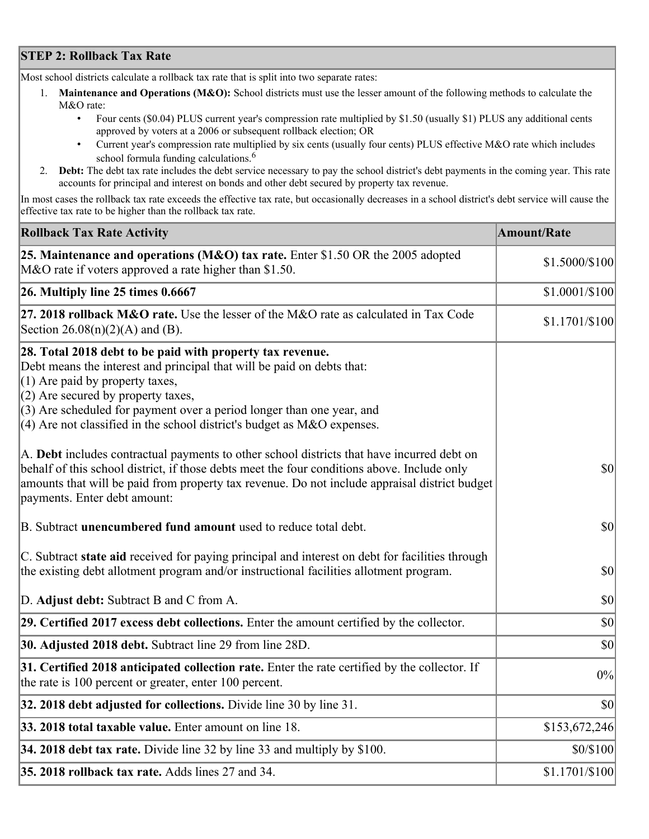## **STEP 2: Rollback Tax Rate**

Most school districts calculate a rollback tax rate that is split into two separate rates:

- 1. **Maintenance and Operations (M&O):** School districts must use the lesser amount of the following methods to calculate the M&O rate:
	- Four cents (\$0.04) PLUS current year's compression rate multiplied by \$1.50 (usually \$1) PLUS any additional cents approved by voters at a 2006 or subsequent rollback election; OR
	- Current year's compression rate multiplied by six cents (usually four cents) PLUS effective M&O rate which includes school formula funding calculations.<sup>6</sup>
- 2. **Debt:** The debt tax rate includes the debt service necessary to pay the school district's debt payments in the coming year. This rate accounts for principal and interest on bonds and other debt secured by property tax revenue.

In most cases the rollback tax rate exceeds the effective tax rate, but occasionally decreases in a school district's debt service will cause the effective tax rate to be higher than the rollback tax rate.

| <b>Rollback Tax Rate Activity</b>                                                                                                                                                                                                                                                                                                                                        | <b>Amount/Rate</b> |
|--------------------------------------------------------------------------------------------------------------------------------------------------------------------------------------------------------------------------------------------------------------------------------------------------------------------------------------------------------------------------|--------------------|
| 25. Maintenance and operations (M&O) tax rate. Enter \$1.50 OR the 2005 adopted<br>M&O rate if voters approved a rate higher than \$1.50.                                                                                                                                                                                                                                | \$1.5000/\$100     |
| $26.$ Multiply line 25 times $0.6667$                                                                                                                                                                                                                                                                                                                                    | $$1.0001/\$100$    |
| 27. 2018 rollback $M&O$ rate. Use the lesser of the M&O rate as calculated in Tax Code<br>Section $26.08(n)(2)(A)$ and (B).                                                                                                                                                                                                                                              | $$1.1701/\$100$    |
| 28. Total 2018 debt to be paid with property tax revenue.<br>Debt means the interest and principal that will be paid on debts that:<br>$(1)$ Are paid by property taxes,<br>$(2)$ Are secured by property taxes,<br>$(3)$ Are scheduled for payment over a period longer than one year, and<br>$(4)$ Are not classified in the school district's budget as M&O expenses. |                    |
| A. Debt includes contractual payments to other school districts that have incurred debt on<br>behalf of this school district, if those debts meet the four conditions above. Include only<br>amounts that will be paid from property tax revenue. Do not include appraisal district budget<br>payments. Enter debt amount:                                               | $ 10\rangle$       |
| B. Subtract unencumbered fund amount used to reduce total debt.                                                                                                                                                                                                                                                                                                          | $ 10\rangle$       |
| C. Subtract state aid received for paying principal and interest on debt for facilities through<br>the existing debt allotment program and/or instructional facilities allotment program.                                                                                                                                                                                | $ 10\rangle$       |
| D. Adjust debt: Subtract B and C from A.                                                                                                                                                                                                                                                                                                                                 | $ 10\rangle$       |
| 29. Certified 2017 excess debt collections. Enter the amount certified by the collector.                                                                                                                                                                                                                                                                                 | $ 10\rangle$       |
| 30. Adjusted 2018 debt. Subtract line 29 from line 28D.                                                                                                                                                                                                                                                                                                                  | \$0                |
| 31. Certified 2018 anticipated collection rate. Enter the rate certified by the collector. If<br>the rate is 100 percent or greater, enter 100 percent.                                                                                                                                                                                                                  | 0%                 |
| 32. 2018 debt adjusted for collections. Divide line 30 by line 31.                                                                                                                                                                                                                                                                                                       | $ 10\rangle$       |
| 33. 2018 total taxable value. Enter amount on line 18.                                                                                                                                                                                                                                                                                                                   | \$153,672,246      |
| 34. 2018 debt tax rate. Divide line 32 by line 33 and multiply by \$100.                                                                                                                                                                                                                                                                                                 | \$0/\$100          |
| 35. 2018 rollback tax rate. Adds lines 27 and 34.                                                                                                                                                                                                                                                                                                                        | $$1.1701/\$100$    |